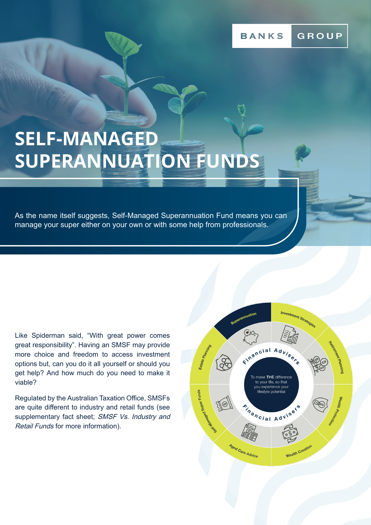# **SELF-MANAGED SUPERANNUATION FUNDS**

As the name itself suggests, Self-Managed Superannuation Fund means you can manage your super either on your own or with some help from professionals.

Like Spiderman said, "With great power comes great responsibility". Having an SMSF may provide more choice and freedom to access investment options but, can you do it all yourself or should you get help? And how much do you need to make it viable?

Regulated by the Australian Taxation Office, SMSFs are quite different to industry and retail funds (see supplementary fact sheet; SMSF Vs. Industry and Retail Funds for more information).

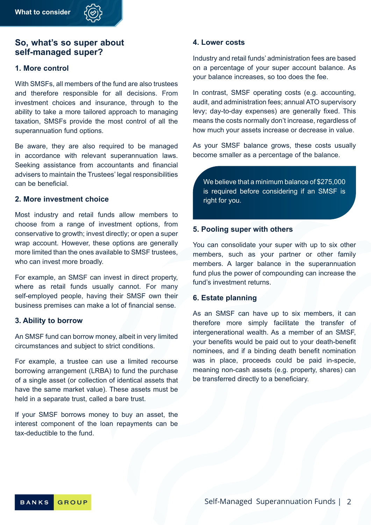

# **So, what's so super about self-managed super?**

#### **1. More control**

With SMSFs, all members of the fund are also trustees and therefore responsible for all decisions. From investment choices and insurance, through to the ability to take a more tailored approach to managing taxation, SMSFs provide the most control of all the superannuation fund options.

Be aware, they are also required to be managed in accordance with relevant superannuation laws. Seeking assistance from accountants and financial advisers to maintain the Trustees' legal responsibilities can be beneficial.

#### **2. More investment choice**

Most industry and retail funds allow members to choose from a range of investment options, from conservative to growth; invest directly; or open a super wrap account. However, these options are generally more limited than the ones available to SMSF trustees, who can invest more broadly.

For example, an SMSF can invest in direct property, where as retail funds usually cannot. For many self-employed people, having their SMSF own their business premises can make a lot of financial sense.

#### **3. Ability to borrow**

An SMSF fund can borrow money, albeit in very limited circumstances and subject to strict conditions.

For example, a trustee can use a limited recourse borrowing arrangement (LRBA) to fund the purchase of a single asset (or collection of identical assets that have the same market value). These assets must be held in a separate trust, called a bare trust.

If your SMSF borrows money to buy an asset, the interest component of the loan repayments can be tax-deductible to the fund.

#### **4. Lower costs**

Industry and retail funds' administration fees are based on a percentage of your super account balance. As your balance increases, so too does the fee.

In contrast, SMSF operating costs (e.g. accounting, audit, and administration fees; annual ATO supervisory levy; day-to-day expenses) are generally fixed. This means the costs normally don't increase, regardless of how much your assets increase or decrease in value.

As your SMSF balance grows, these costs usually become smaller as a percentage of the balance.

We believe that a minimum balance of \$275,000 is required before considering if an SMSF is right for you.

#### **5. Pooling super with others**

You can consolidate your super with up to six other members, such as your partner or other family members. A larger balance in the superannuation fund plus the power of compounding can increase the fund's investment returns.

#### **6. Estate planning**

As an SMSF can have up to six members, it can therefore more simply facilitate the transfer of intergenerational wealth. As a member of an SMSF, your benefits would be paid out to your death-benefit nominees, and if a binding death benefit nomination was in place, proceeds could be paid in-specie, meaning non-cash assets (e.g. property, shares) can be transferred directly to a beneficiary.